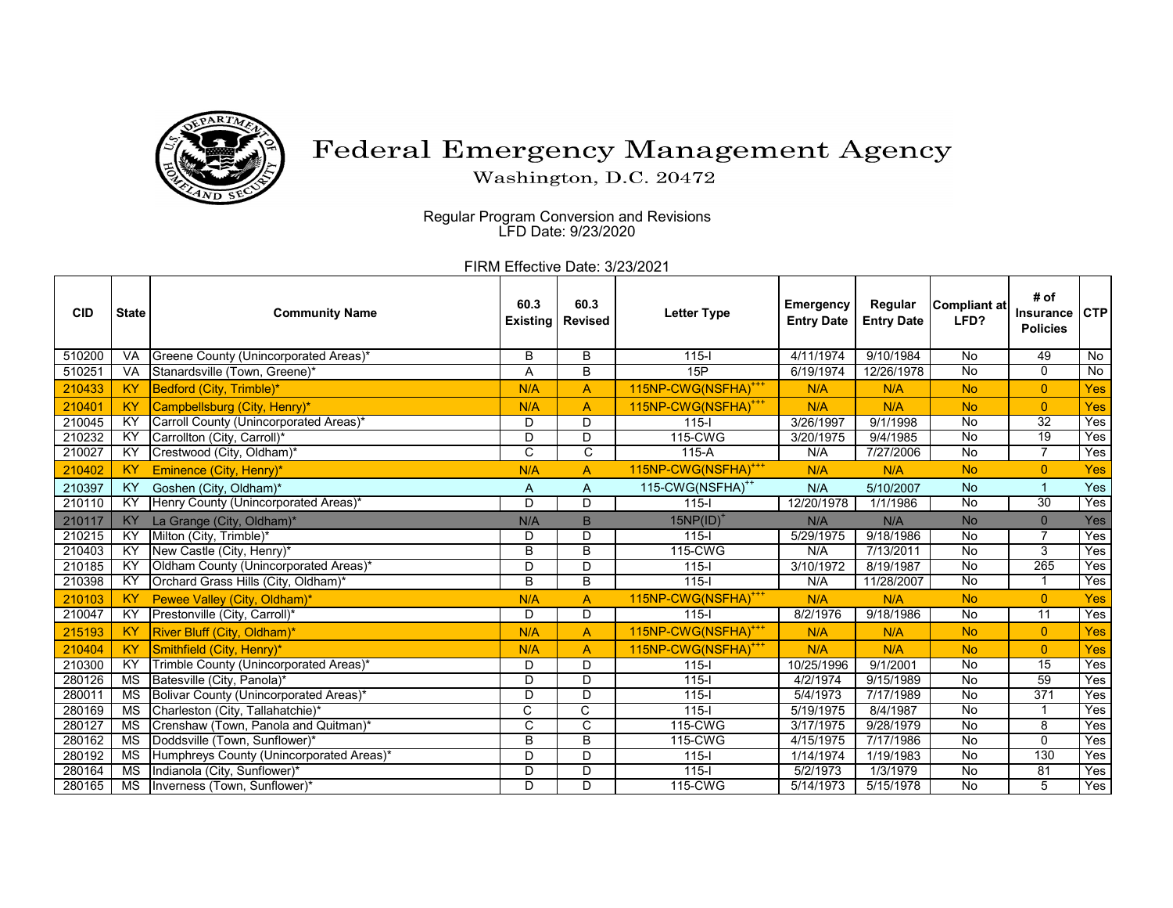

## Federal Emergency Management Agency

Washington, D.C. 20472

 Regular Program Conversion and Revisions LFD Date: 9/23/2020

FIRM Effective Date: 3/23/2021

| <b>CID</b> | <b>State</b>    | <b>Community Name</b>                    | 60.3<br><b>Existing</b> | 60.3<br><b>Revised</b> | <b>Letter Type</b>              | <b>Emergency</b><br><b>Entry Date</b> | Regular<br><b>Entry Date</b> | <b>Compliant at</b><br>LFD? | # of<br><b>Insurance</b><br><b>Policies</b> | <b>CTP</b>     |
|------------|-----------------|------------------------------------------|-------------------------|------------------------|---------------------------------|---------------------------------------|------------------------------|-----------------------------|---------------------------------------------|----------------|
| 510200     | <b>VA</b>       | Greene County (Unincorporated Areas)*    | В                       | B                      | $115 -$                         | 4/11/1974                             | 9/10/1984                    | <b>No</b>                   | 49                                          | No             |
| 510251     | VA              | Stanardsville (Town, Greene)*            | A                       | B                      | 15P                             | 6/19/1974                             | 12/26/1978                   | <b>No</b>                   | $\mathbf 0$                                 | $\overline{N}$ |
| 210433     | <b>KY</b>       | Bedford (City, Trimble)*                 | N/A                     | A                      | 115NP-CWG(NSFHA) <sup>+++</sup> | N/A                                   | N/A                          | <b>No</b>                   | $\overline{0}$                              | Yes            |
| 210401     | KY              | Campbellsburg (City, Henry)*             | N/A                     | $\overline{A}$         | 115NP-CWG(NSFHA) <sup>+++</sup> | N/A                                   | N/A                          | <b>No</b>                   | $\overline{0}$                              | Yes            |
| 210045     | KY              | Carroll County (Unincorporated Areas)*   | D                       | D                      | $115 -$                         | 3/26/1997                             | 9/1/1998                     | <b>No</b>                   | $\overline{32}$                             | Yes            |
| 210232     | KY              | Carrollton (City, Carroll)*              | D                       | D                      | 115-CWG                         | 3/20/1975                             | 9/4/1985                     | No                          | 19                                          | Yes            |
| 210027     | $\overline{XY}$ | Crestwood (City, Oldham)*                | C                       | C                      | $115-A$                         | N/A                                   | 7/27/2006                    | $\overline{N}$              | 7                                           | Yes            |
| 210402     | <b>KY</b>       | Eminence (City, Henry)*                  | N/A                     | A                      | 115NP-CWG(NSFHA) <sup>+++</sup> | N/A                                   | N/A                          | <b>No</b>                   | $\overline{0}$                              | Yes            |
| 210397     | KY              | Goshen (City, Oldham)*                   | A                       | A                      | 115-CWG(NSFHA) <sup>++</sup>    | N/A                                   | 5/10/2007                    | <b>No</b>                   |                                             | Yes            |
| 210110     | ΚY              | Henry County (Unincorporated Areas)*     | $\overline{D}$          | D                      | $115 -$                         | 12/20/1978                            | 1/1/1986                     | $\overline{N}$              | $\overline{30}$                             | Yes            |
| 210117     | KY              | La Grange (City, Oldham)*                | N/A                     | B                      | $15NP(ID)^*$                    | N/A                                   | N/A                          | <b>No</b>                   | $\Omega$                                    | Yes            |
| 210215     | $\overline{KY}$ | Milton (City, Trimble)*                  | D                       | D                      | $115 -$                         | 5/29/1975                             | 9/18/1986                    | No                          | $\overline{7}$                              | Yes            |
| 210403     | KY              | New Castle (City, Henry)*                | B                       | B                      | 115-CWG                         | N/A                                   | 7/13/2011                    | <b>No</b>                   | 3                                           | Yes            |
| 210185     | KY              | Oldham County (Unincorporated Areas)*    | D                       | D                      | $115 -$                         | 3/10/1972                             | 8/19/1987                    | No                          | 265                                         | Yes            |
| 210398     | KY              | Orchard Grass Hills (City, Oldham)*      | B                       | B                      | $115 -$                         | N/A                                   | 11/28/2007                   | $\overline{N}$              |                                             | Yes            |
| 210103     | <b>KY</b>       | Pewee Valley (City, Oldham)*             | N/A                     | $\overline{A}$         | 115NP-CWG(NSFHA) <sup>+++</sup> | N/A                                   | N/A                          | <b>No</b>                   | $\overline{0}$                              | Yes            |
| 210047     | KY              | Prestonville (City, Carroll)*            | D                       | $\mathsf{D}$           | $115 -$                         | 8/2/1976                              | 9/18/1986                    | $\overline{N}$              | $\overline{11}$                             | Yes            |
| 215193     | <b>KY</b>       | River Bluff (City, Oldham)*              | N/A                     | $\overline{A}$         | 115NP-CWG(NSFHA) <sup>+++</sup> | N/A                                   | N/A                          | <b>No</b>                   | $\overline{0}$                              | Yes            |
| 210404     | <b>KY</b>       | Smithfield (City, Henry)*                | N/A                     | $\overline{A}$         | 115NP-CWG(NSFHA) <sup>+++</sup> | N/A                                   | N/A                          | <b>No</b>                   | $\overline{0}$                              | Yes            |
| 210300     | $\overline{XY}$ | Trimble County (Unincorporated Areas)*   | D                       | D                      | $115 -$                         | 10/25/1996                            | 9/1/2001                     | No                          | 15                                          | Yes            |
| 280126     | MS              | Batesville (City, Panola)*               | D                       | D                      | $115 -$                         | 4/2/1974                              | 9/15/1989                    | No                          | 59                                          | Yes            |
| 280011     | <b>MS</b>       | Bolivar County (Unincorporated Areas)*   | D                       | D                      | $115 -$                         | 5/4/1973                              | 7/17/1989                    | No                          | 371                                         | Yes            |
| 280169     | <b>MS</b>       | Charleston (City, Tallahatchie)*         | C                       | $\overline{C}$         | $115 -$                         | 5/19/1975                             | 8/4/1987                     | $\overline{N}$              |                                             | Yes            |
| 280127     | MS              | Crenshaw (Town, Panola and Quitman)*     | C                       | $\overline{c}$         | 115-CWG                         | 3/17/1975                             | 9/28/1979                    | $\overline{N}$              | 8                                           | Yes            |
| 280162     | <b>MS</b>       | Doddsville (Town, Sunflower)*            | B                       | B                      | 115-CWG                         | 4/15/1975                             | 7/17/1986                    | No                          | $\mathbf{0}$                                | Yes            |
| 280192     | MS              | Humphreys County (Unincorporated Areas)* | D                       | D                      | $115 -$                         | 1/14/1974                             | 1/19/1983                    | <b>No</b>                   | 130                                         | Yes            |
| 280164     | <b>MS</b>       | Indianola (City, Sunflower)*             | D                       | D                      | $115-I$                         | 5/2/1973                              | 1/3/1979                     | No                          | 81                                          | Yes            |
| 280165     | MS              | Inverness (Town, Sunflower)*             | D                       | D                      | 115-CWG                         | 5/14/1973                             | 5/15/1978                    | $\overline{N}$              | 5                                           | Yes            |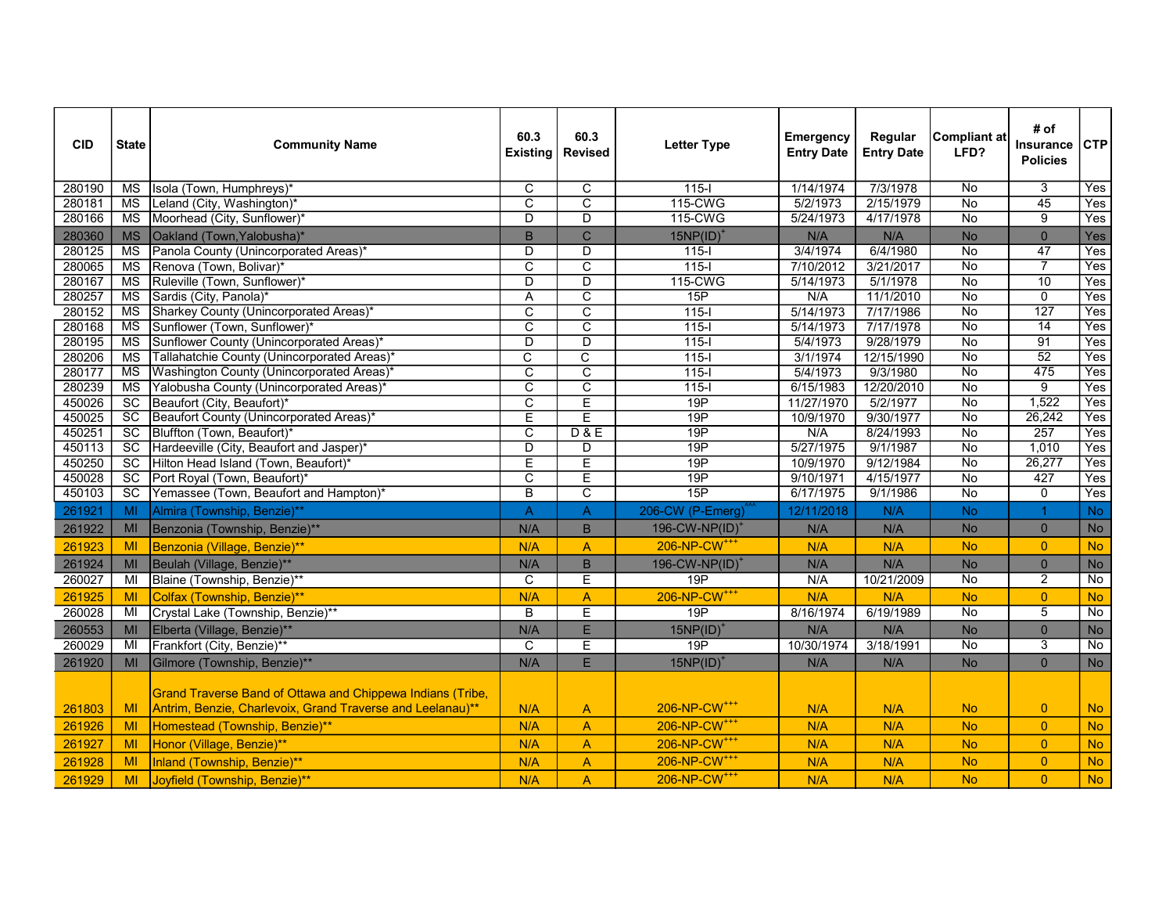| <b>CID</b> | <b>State</b>           | <b>Community Name</b>                                                                                                    | 60.3<br><b>Existing</b> | 60.3<br><b>Revised</b>  | <b>Letter Type</b>         | <b>Emergency</b><br><b>Entry Date</b> | Regular<br><b>Entry Date</b> | <b>Compliant at</b><br>LFD? | # of<br>Insurance<br><b>Policies</b> | CTP            |
|------------|------------------------|--------------------------------------------------------------------------------------------------------------------------|-------------------------|-------------------------|----------------------------|---------------------------------------|------------------------------|-----------------------------|--------------------------------------|----------------|
| 280190     | MS                     | Isola (Town, Humphreys)*                                                                                                 | C                       | C                       | $115 -$                    | 1/14/1974                             | 7/3/1978                     | No                          | 3                                    | Yes            |
| 280181     | MS                     | Leland (City, Washington)*                                                                                               | $\overline{\mathrm{c}}$ | $\overline{\text{c}}$   | 115-CWG                    | 5/2/1973                              | 2/15/1979                    | $\overline{No}$             | 45                                   | Yes            |
| 280166     | $\overline{\text{MS}}$ | Moorhead (City, Sunflower)*                                                                                              | D                       | D                       | 115-CWG                    | 5/24/1973                             | 4/17/1978                    | No                          | $\overline{9}$                       | <b>Yes</b>     |
| 280360     | <b>MS</b>              | Oakland (Town, Yalobusha)*                                                                                               | B                       | $\mathsf{C}$            | $15NP(ID)^*$               | N/A                                   | N/A                          | <b>No</b>                   | $\overline{0}$                       | Yes            |
| 280125     | <b>MS</b>              | Panola County (Unincorporated Areas)                                                                                     | $\overline{D}$          | $\overline{D}$          | $\overline{115-1}$         | 3/4/1974                              | 6/4/1980                     | $\overline{No}$             | $\overline{47}$                      | Yes            |
| 280065     | $\overline{\text{MS}}$ | Renova (Town, Bolivar)*                                                                                                  | C                       | $\overline{\text{c}}$   | $115 -$                    | 7/10/2012                             | 3/21/2017                    | $\overline{N_{0}}$          | $\overline{7}$                       | Yes            |
| 280167     | <b>MS</b>              | Ruleville (Town, Sunflower)*                                                                                             | D                       | D                       | 115-CWG                    | 5/14/1973                             | 5/1/1978                     | No                          | $\overline{10}$                      | Yes            |
| 280257     | MS                     | Sardis (City, Panola)                                                                                                    | A                       | $\overline{\text{c}}$   | 15P                        | N/A                                   | 11/1/2010                    | $\overline{N}$              | $\overline{0}$                       | Yes            |
| 280152     | <b>MS</b>              | Sharkey County (Unincorporated Areas)                                                                                    | $\overline{\mathrm{c}}$ | $\overline{\mathsf{c}}$ | $\frac{115}{1}$            | 5/14/1973                             | 7/17/1986                    | $\overline{No}$             | 127                                  | Yes            |
| 280168     | <b>MS</b>              | Sunflower (Town, Sunflower)*                                                                                             | C                       | $\overline{\mathsf{c}}$ | $115-I$                    | 5/14/1973                             | 7/17/1978                    | No                          | $\overline{14}$                      | Yes            |
| 280195     | $\overline{\text{MS}}$ | Sunflower County (Unincorporated Areas)*                                                                                 | $\overline{\mathsf{D}}$ | $\overline{D}$          | $115-I$                    | 5/4/1973                              | 9/28/1979                    | $\overline{N}$              | $\overline{91}$                      | Yes            |
| 280206     | $\overline{\text{MS}}$ | Tallahatchie County (Unincorporated Areas)                                                                               | C                       | C                       | $115 -$                    | 3/1/1974                              | 12/15/1990                   | $\overline{N}$              | 52                                   | Yes            |
| 280177     | MS                     | Washington County (Unincorporated Areas)                                                                                 | C                       | C                       | $115 -$                    | 5/4/1973                              | 9/3/1980                     | No                          | 475                                  | Yes            |
| 280239     | $\overline{\text{MS}}$ | Yalobusha County (Unincorporated Areas)*                                                                                 | $\overline{\mathsf{c}}$ | $\overline{\text{c}}$   | $\overline{115}$           | 6/15/1983                             | 12/20/2010                   | $\overline{No}$             | $\overline{9}$                       | Yes            |
| 450026     | $\overline{SC}$        | Beaufort (City, Beaufort)*                                                                                               | $\overline{\mathrm{c}}$ | Έ                       | 19P                        | 11/27/1970                            | 5/2/1977                     | $\overline{N_{0}}$          | 1,522                                | Yes            |
| 450025     | $\overline{SC}$        | Beaufort County (Unincorporated Areas)*                                                                                  | Ε                       | E                       | 19P                        | 10/9/1970                             | 9/30/1977                    | No                          | 26,242                               | Yes            |
| 450251     | SC                     | Bluffton (Town, Beaufort)*                                                                                               | $\overline{\text{c}}$   | D & E                   | 19P                        | N/A                                   | 8/24/1993                    | $\overline{No}$             | 257                                  | Yes            |
| 450113     | $\overline{SC}$        | Hardeeville (City, Beaufort and Jasper)*                                                                                 | D                       | D                       | 19P                        | 5/27/1975                             | 9/1/1987                     | $\overline{N}$              | 1,010                                | Yes            |
| 450250     | $\overline{SC}$        | Hilton Head Island (Town, Beaufort)*                                                                                     | Ε                       | $\overline{E}$          | 19P                        | 10/9/1970                             | 9/12/1984                    | No                          | 26,277                               | Yes            |
| 450028     | $\overline{SC}$        | Port Royal (Town, Beaufort)*                                                                                             | $\overline{\mathrm{c}}$ | $\overline{E}$          | 19P                        | 9/10/1971                             | 4/15/1977                    | $\overline{No}$             | 427                                  | Yes            |
| 450103     | $\overline{SC}$        | Yemassee (Town, Beaufort and Hampton)*                                                                                   | B                       | C                       | 15P                        | 6/17/1975                             | 9/1/1986                     | $\overline{N}$              | $\mathbf 0$                          | Yes            |
| 261921     | MI                     | Almira (Township, Benzie)**                                                                                              | $\overline{A}$          | $\mathsf{A}$            | 206-CW (P-Emerg)           | 12/11/2018                            | N/A                          | <b>No</b>                   | $\blacktriangleleft$                 | <b>No</b>      |
| 261922     | <b>MI</b>              | Benzonia (Township, Benzie)**                                                                                            | N/A                     | B                       | 196-CW-NP(ID) <sup>+</sup> | N/A                                   | N/A                          | <b>No</b>                   | $\overline{0}$                       | No             |
| 261923     | MI                     | Benzonia (Village, Benzie)**                                                                                             | N/A                     | A                       | 206-NP-CW <sup>+++</sup>   | N/A                                   | N/A                          | <b>No</b>                   | $\overline{0}$                       | <b>No</b>      |
| 261924     | MI                     | Beulah (Village, Benzie)**                                                                                               | N/A                     | $\sf B$                 | 196-CW-NP(ID) <sup>+</sup> | N/A                                   | N/A                          | <b>No</b>                   | $\overline{0}$                       | No             |
| 260027     | MI                     | Blaine (Township, Benzie)**                                                                                              | C                       | E                       | 19P                        | N/A                                   | 10/21/2009                   | $\overline{N}$              | 2                                    | No             |
| 261925     | MI                     | Colfax (Township, Benzie)**                                                                                              | N/A                     | $\overline{A}$          | 206-NP-CW <sup>+++</sup>   | N/A                                   | N/A                          | <b>No</b>                   | $\overline{0}$                       | <b>No</b>      |
| 260028     | MI                     | Crystal Lake (Township, Benzie)**                                                                                        | B                       | $\overline{\mathsf{E}}$ | 19P                        | 8/16/1974                             | 6/19/1989                    | $\overline{No}$             | $\overline{5}$                       | $\overline{N}$ |
| 260553     | <b>MI</b>              | Elberta (Village, Benzie)**                                                                                              | N/A                     | E                       | $15NP(ID)^*$               | N/A                                   | N/A                          | <b>No</b>                   | $\overline{0}$                       | No             |
| 260029     | MI                     | Frankfort (City, Benzie)**                                                                                               | C                       | Е                       | 19P                        | 10/30/1974                            | 3/18/1991                    | No                          | 3                                    | No             |
| 261920     | <b>MI</b>              | Gilmore (Township, Benzie)**                                                                                             | N/A                     | E                       | $15NP(ID)^*$               | N/A                                   | N/A                          | <b>No</b>                   | $\overline{0}$                       | <b>No</b>      |
| 261803     | MI                     | Grand Traverse Band of Ottawa and Chippewa Indians (Tribe,<br>Antrim, Benzie, Charlevoix, Grand Traverse and Leelanau)** | N/A                     | $\mathsf{A}$            | 206-NP-CW <sup>+++</sup>   | N/A                                   | N/A                          | <b>No</b>                   | $\overline{0}$                       | <b>No</b>      |
| 261926     | MI                     | Homestead (Township, Benzie)**                                                                                           | N/A                     | A                       | 206-NP-CW <sup>+++</sup>   | N/A                                   | N/A                          | <b>No</b>                   | $\overline{0}$                       | <b>No</b>      |
| 261927     | MI                     | Honor (Village, Benzie)**                                                                                                | N/A                     | A                       | 206-NP-CW <sup>+++</sup>   | N/A                                   | N/A                          | <b>No</b>                   | $\overline{0}$                       | <b>No</b>      |
| 261928     | MI                     | Inland (Township, Benzie)**                                                                                              | N/A                     | $\overline{A}$          | 206-NP-CW <sup>+++</sup>   | N/A                                   | N/A                          | <b>No</b>                   | $\overline{0}$                       | <b>No</b>      |
| 261929     | MI                     | Joyfield (Township, Benzie)**                                                                                            | N/A                     | $\overline{A}$          | 206-NP-CW <sup>+++</sup>   | N/A                                   | N/A                          | <b>No</b>                   | $\overline{0}$                       | <b>No</b>      |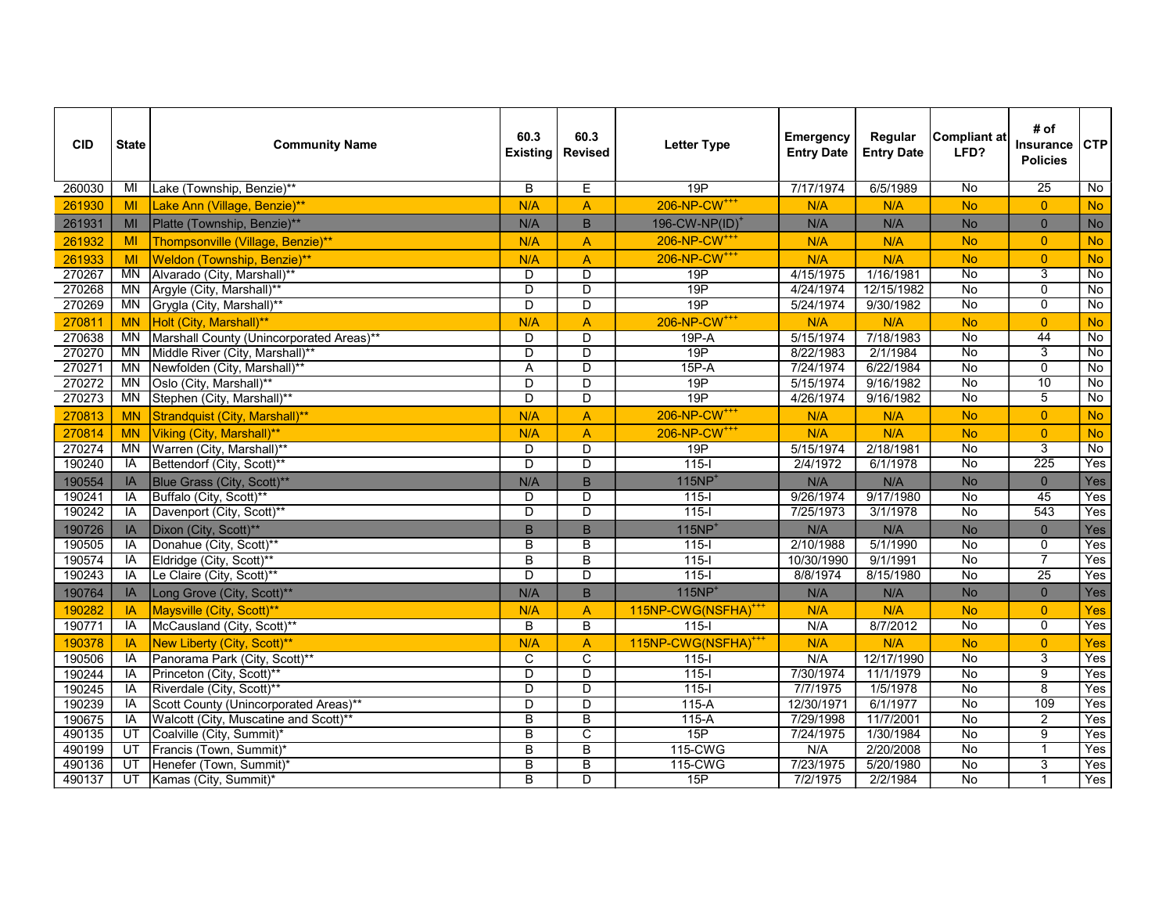| <b>CID</b> | <b>State</b> | <b>Community Name</b>                    | 60.3<br><b>Existing</b> | 60.3<br><b>Revised</b>  | <b>Letter Type</b>              | <b>Emergency</b><br><b>Entry Date</b> | Regular<br><b>Entry Date</b> | <b>Compliant at</b><br>LFD? | # of<br><b>Insurance</b><br><b>Policies</b> | <b>CTP</b>     |
|------------|--------------|------------------------------------------|-------------------------|-------------------------|---------------------------------|---------------------------------------|------------------------------|-----------------------------|---------------------------------------------|----------------|
| 260030     | MI           | Lake (Township, Benzie)**                | B                       | E                       | 19P                             | 7/17/1974                             | 6/5/1989                     | $\overline{N}$              | $\overline{25}$                             | $\overline{N}$ |
| 261930     | MI           | Lake Ann (Village, Benzie)**             | N/A                     | $\overline{A}$          | 206-NP-CW <sup>+++</sup>        | N/A                                   | N/A                          | <b>No</b>                   | $\overline{0}$                              | <b>No</b>      |
| 261931     | MI           | Platte (Township, Benzie)**              | N/A                     | $\mathsf B$             | 196-CW-NP(ID) <sup>+</sup>      | N/A                                   | N/A                          | <b>No</b>                   | $\overline{0}$                              | <b>No</b>      |
| 261932     | MI           | Thompsonville (Village, Benzie)**        | N/A                     | $\overline{A}$          | 206-NP-CW <sup>+++</sup>        | N/A                                   | N/A                          | <b>No</b>                   | $\overline{0}$                              | <b>No</b>      |
| 261933     | MI           | Weldon (Township, Benzie)**              | N/A                     | $\overline{A}$          | 206-NP-CW <sup>+++</sup>        | N/A                                   | N/A                          | <b>No</b>                   | $\overline{0}$                              | <b>No</b>      |
| 270267     | <b>MN</b>    | Alvarado (City, Marshall)**              | D                       | D                       | 19P                             | 4/15/1975                             | 1/16/1981                    | No                          | 3                                           | $\overline{N}$ |
| 270268     | <b>MN</b>    | Argyle (City, Marshall)**                | $\overline{D}$          | D                       | 19P                             | 4/24/1974                             | 12/15/1982                   | No                          | $\overline{0}$                              | No             |
| 270269     | <b>MN</b>    | Grygla (City, Marshall)**                | D                       | $\overline{D}$          | 19P                             | 5/24/1974                             | 9/30/1982                    | <b>No</b>                   | $\overline{0}$                              | $\overline{N}$ |
| 270811     | <b>MN</b>    | Holt (City, Marshall)**                  | N/A                     | $\overline{A}$          | 206-NP-CW <sup>+++</sup>        | N/A                                   | N/A                          | <b>No</b>                   | $\overline{0}$                              | <b>No</b>      |
| 270638     | MN           | Marshall County (Unincorporated Areas)** | D                       | $\overline{D}$          | $19P - A$                       | 5/15/1974                             | 7/18/1983                    | $\overline{N}$              | 44                                          | $\overline{N}$ |
| 270270     | MN           | Middle River (City, Marshall)**          | $\overline{D}$          | $\overline{D}$          | 19P                             | 8/22/1983                             | 2/1/1984                     | No                          | 3                                           | No             |
| 270271     | <b>MN</b>    | Newfolden (City, Marshall)**             | $\overline{A}$          | $\overline{D}$          | $15P - A$                       | 7/24/1974                             | 6/22/1984                    | No                          | $\overline{0}$                              | No             |
| 270272     | MN           | Oslo (City, Marshall)**                  | D                       | $\overline{D}$          | 19P                             | 5/15/1974                             | 9/16/1982                    | No                          | 10                                          | No             |
| 270273     | <b>MN</b>    | Stephen (City, Marshall)**               | $\overline{D}$          | $\overline{\mathsf{D}}$ | 19P                             | 4/26/1974                             | 9/16/1982                    | No                          | 5                                           | No             |
| 270813     | <b>MN</b>    | Strandquist (City, Marshall)**           | N/A                     | $\overline{A}$          | 206-NP-CW <sup>+++</sup>        | N/A                                   | N/A                          | <b>No</b>                   | $\overline{0}$                              | <b>No</b>      |
| 270814     | <b>MN</b>    | Viking (City, Marshall)**                | N/A                     | $\overline{A}$          | 206-NP-CW <sup>+++</sup>        | N/A                                   | N/A                          | <b>No</b>                   | $\overline{0}$                              | <b>No</b>      |
| 270274     | <b>MN</b>    | Warren (City, Marshall)**                | $\overline{D}$          | D                       | 19P                             | 5/15/1974                             | 2/18/1981                    | No                          | $\overline{3}$                              | $\overline{N}$ |
| 190240     | IA           | Bettendorf (City, Scott)**               | D                       | D                       | $115 -$                         | 2/4/1972                              | 6/1/1978                     | $\overline{N}$              | 225                                         | Yes            |
| 190554     | IA           | Blue Grass (City, Scott)**               | N/A                     | B                       | $115NP+$                        | N/A                                   | N/A                          | <b>No</b>                   | $\overline{0}$                              | Yes            |
| 190241     | <b>IA</b>    | Buffalo (City, Scott)**                  | D                       | $\overline{D}$          | $115 -$                         | 9/26/1974                             | 9/17/1980                    | No                          | 45                                          | Yes            |
| 190242     | <b>IA</b>    | Davenport (City, Scott)**                | $\overline{\mathsf{D}}$ | $\overline{D}$          | $115 -$                         | 7/25/1973                             | 3/1/1978                     | No                          | 543                                         | Yes            |
| 190726     | IA           | Dixon (City, Scott)**                    | B                       | B                       | $115NP+$                        | N/A                                   | N/A                          | <b>No</b>                   | $\overline{0}$                              | Yes            |
| 190505     | IA           | Donahue (City, Scott)**                  | B                       | B                       | $115 -$                         | 2/10/1988                             | 5/1/1990                     | No                          | 0                                           | Yes            |
| 190574     | IA           | Eldridge (City, Scott)**                 | $\overline{B}$          | $\overline{B}$          | $115 -$                         | 10/30/1990                            | 9/1/1991                     | No                          | $\overline{7}$                              | Yes            |
| 190243     | IA           | Le Claire (City, Scott)**                | D                       | D                       | $115-I$                         | 8/8/1974                              | 8/15/1980                    | No                          | $\overline{25}$                             | Yes            |
| 190764     | IA           | Long Grove (City, Scott)**               | N/A                     | B                       | $115NP+$                        | N/A                                   | N/A                          | <b>No</b>                   | $\overline{0}$                              | Yes            |
| 190282     | IA           | Maysville (City, Scott)**                | N/A                     | $\overline{A}$          | 115NP-CWG(NSFHA) <sup>+++</sup> | N/A                                   | N/A                          | <b>No</b>                   | $\overline{0}$                              | Yes            |
| 190771     | IA           | McCausland (City, Scott)**               | B                       | B                       | $115 -$                         | N/A                                   | 8/7/2012                     | No                          | $\overline{0}$                              | Yes            |
| 190378     | IA           | New Liberty (City, Scott)**              | N/A                     | $\overline{A}$          | 115NP-CWG(NSFHA) <sup>+++</sup> | N/A                                   | N/A                          | <b>No</b>                   | $\overline{0}$                              | <b>Yes</b>     |
| 190506     | IA           | Panorama Park (City, Scott)**            | $\overline{\text{c}}$   | $\overline{C}$          | $115 -$                         | N/A                                   | 12/17/1990                   | $\overline{N}$              | $\overline{3}$                              | Yes            |
| 190244     | IA           | Princeton (City, Scott)**                | $\overline{D}$          | $\overline{D}$          | $115 -$                         | 7/30/1974                             | 11/1/1979                    | No                          | $\overline{9}$                              | Yes            |
| 190245     | IA           | Riverdale (City, Scott)**                | $\overline{D}$          | $\overline{D}$          | $115 -$                         | 7/7/1975                              | 1/5/1978                     | $\overline{N}$              | $\overline{8}$                              | Yes            |
| 190239     | IA           | Scott County (Unincorporated Areas)**    | D                       | $\overline{\mathsf{D}}$ | $115-A$                         | 12/30/1971                            | 6/1/1977                     | <b>No</b>                   | 109                                         | Yes            |
| 190675     | IA           | Walcott (City, Muscatine and Scott)**    | $\overline{B}$          | B                       | $115-A$                         | 7/29/1998                             | 11/7/2001                    | No                          | $\overline{2}$                              | Yes            |
| 490135     | UT           | Coalville (City, Summit)*                | $\overline{B}$          | $\overline{C}$          | 15P                             | 7/24/1975                             | 1/30/1984                    | No                          | $\overline{9}$                              | Yes            |
| 490199     | UT           | Francis (Town, Summit)*                  | B                       | $\overline{B}$          | 115-CWG                         | N/A                                   | 2/20/2008                    | No                          | $\mathbf{1}$                                | Yes            |
| 490136     | UT           | Henefer (Town, Summit)*                  | B                       | $\overline{B}$          | 115-CWG                         | 7/23/1975                             | 5/20/1980                    | $\overline{N}$              | 3                                           | Yes            |
| 490137     | UT           | Kamas (City, Summit)*                    | B                       | D.                      | 15P                             | 7/2/1975                              | 2/2/1984                     | $\overline{N}$              | $\mathbf{1}$                                | Yes            |